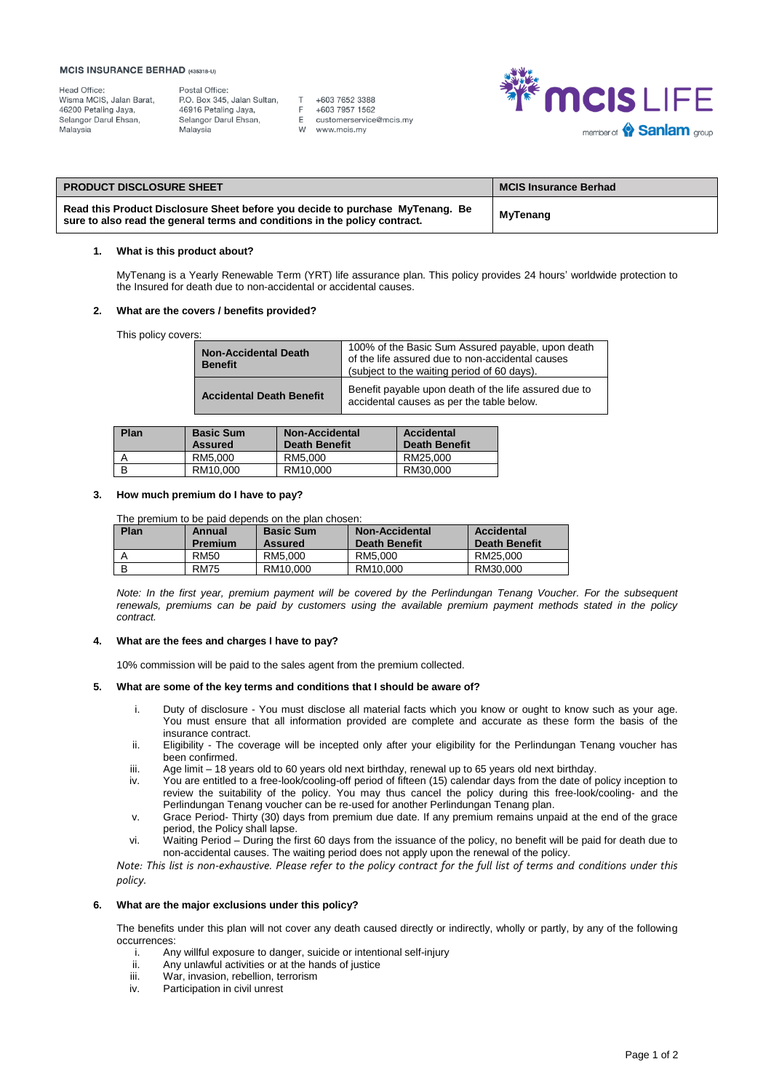#### **MCIS INSURANCE BERHAD (435318-U)**

Postal Office: P.O. Box 345, Jalan Sultan, 46916 Petaling Jaya, Selangor Darul Ehsan, Malaysia

+603 7652 3388 +603 7957 1562 E customerservice@mcis.my W www.mcis.my

 $T$ 

 $\overline{F}$ 



| <b>PRODUCT DISCLOSURE SHEET</b>                                                                                                                             | <b>MCIS Insurance Berhad</b> |
|-------------------------------------------------------------------------------------------------------------------------------------------------------------|------------------------------|
| Read this Product Disclosure Sheet before you decide to purchase MyTenang. Be<br>sure to also read the general terms and conditions in the policy contract. | MyTenang                     |

## **1. What is this product about?**

MyTenang is a Yearly Renewable Term (YRT) life assurance plan. This policy provides 24 hours' worldwide protection to the Insured for death due to non-accidental or accidental causes.

## **2. What are the covers / benefits provided?**

This policy covers:

| <b>Non-Accidental Death</b><br><b>Benefit</b> | 100% of the Basic Sum Assured payable, upon death<br>of the life assured due to non-accidental causes<br>(subject to the waiting period of 60 days). |
|-----------------------------------------------|------------------------------------------------------------------------------------------------------------------------------------------------------|
| <b>Accidental Death Benefit</b>               | Benefit payable upon death of the life assured due to<br>accidental causes as per the table below.                                                   |

| Plan | <b>Basic Sum</b><br><b>Assured</b> | <b>Non-Accidental</b><br><b>Death Benefit</b> | Accidental<br><b>Death Benefit</b> |
|------|------------------------------------|-----------------------------------------------|------------------------------------|
|      | RM5.000                            | RM5.000                                       | RM25.000                           |
| B    | RM10.000                           | RM10.000                                      | RM30.000                           |

## **3. How much premium do I have to pay?**

The premium to be paid depends on the plan chosen:

| Plan | Annual<br><b>Premium</b> | <b>Basic Sum</b><br><b>Assured</b> | <b>Non-Accidental</b><br><b>Death Benefit</b> | Accidental<br><b>Death Benefit</b> |
|------|--------------------------|------------------------------------|-----------------------------------------------|------------------------------------|
|      | <b>RM50</b>              | RM5.000                            | RM5.000                                       | RM25.000                           |
| В    | <b>RM75</b>              | RM10.000                           | RM10.000                                      | RM30.000                           |

*Note: In the first year, premium payment will be covered by the Perlindungan Tenang Voucher. For the subsequent renewals, premiums can be paid by customers using the available premium payment methods stated in the policy contract.* 

#### **4. What are the fees and charges I have to pay?**

10% commission will be paid to the sales agent from the premium collected.

## **5. What are some of the key terms and conditions that I should be aware of?**

- i. Duty of disclosure You must disclose all material facts which you know or ought to know such as your age. You must ensure that all information provided are complete and accurate as these form the basis of the insurance contract.
- ii. Eligibility The coverage will be incepted only after your eligibility for the Perlindungan Tenang voucher has been confirmed.
- iii. Age limit 18 years old to 60 years old next birthday, renewal up to 65 years old next birthday.
- iv. You are entitled to a free-look/cooling-off period of fifteen (15) calendar days from the date of policy inception to review the suitability of the policy. You may thus cancel the policy during this free-look/cooling- and the Perlindungan Tenang voucher can be re-used for another Perlindungan Tenang plan.
- v. Grace Period- Thirty (30) days from premium due date. If any premium remains unpaid at the end of the grace period, the Policy shall lapse.
- vi. Waiting Period During the first 60 days from the issuance of the policy, no benefit will be paid for death due to non-accidental causes. The waiting period does not apply upon the renewal of the policy.

*Note: This list is non-exhaustive. Please refer to the policy contract for the full list of terms and conditions under this policy.*

### **6. What are the major exclusions under this policy?**

The benefits under this plan will not cover any death caused directly or indirectly, wholly or partly, by any of the following occurrences:

- i. Any willful exposure to danger, suicide or intentional self-injury<br>ii. Any unlawful activities or at the hands of justice
- ii. Any unlawful activities or at the hands of justice<br>iii War, invasion, rebellion, terrorism
- iii. War, invasion, rebellion, terrorism<br>iv. Participation in civil unrest
- Participation in civil unrest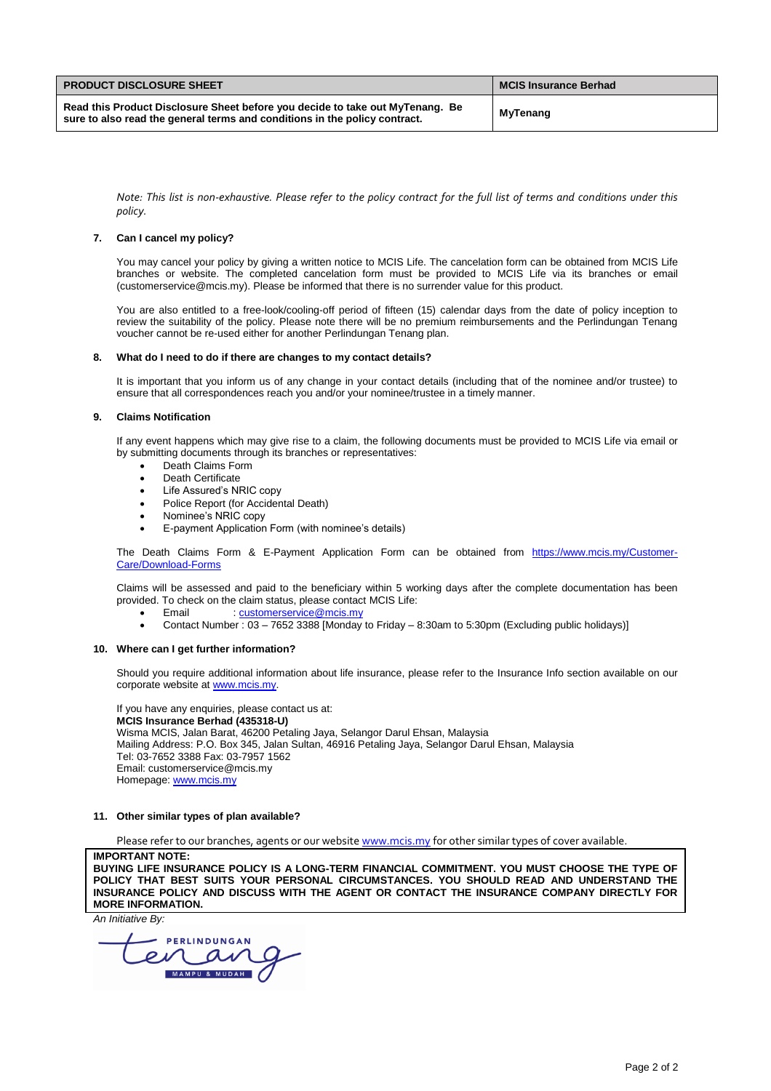| <b>PRODUCT DISCLOSURE SHEET</b>                                                                                                                             | <b>MCIS Insurance Berhad</b> |
|-------------------------------------------------------------------------------------------------------------------------------------------------------------|------------------------------|
| Read this Product Disclosure Sheet before you decide to take out MyTenang. Be<br>sure to also read the general terms and conditions in the policy contract. | MyTenang                     |

*Note: This list is non-exhaustive. Please refer to the policy contract for the full list of terms and conditions under this policy.*

## **7. Can I cancel my policy?**

You may cancel your policy by giving a written notice to MCIS Life. The cancelation form can be obtained from MCIS Life branches or website. The completed cancelation form must be provided to MCIS Life via its branches or email (customerservice@mcis.my). Please be informed that there is no surrender value for this product.

You are also entitled to a free-look/cooling-off period of fifteen (15) calendar days from the date of policy inception to review the suitability of the policy. Please note there will be no premium reimbursements and the Perlindungan Tenang voucher cannot be re-used either for another Perlindungan Tenang plan.

### **8. What do I need to do if there are changes to my contact details?**

It is important that you inform us of any change in your contact details (including that of the nominee and/or trustee) to ensure that all correspondences reach you and/or your nominee/trustee in a timely manner.

### **9. Claims Notification**

If any event happens which may give rise to a claim, the following documents must be provided to MCIS Life via email or by submitting documents through its branches or representatives:

- Death Claims Form
- Death Certificate
- Life Assured's NRIC copy
- Police Report (for Accidental Death)
- Nominee's NRIC copy
- E-payment Application Form (with nominee's details)

The Death Claims Form & E-Payment Application Form can be obtained from [https://www.mcis.my/Customer-](https://www.mcis.my/Customer-Care/Download-Forms)[Care/Download-Forms](https://www.mcis.my/Customer-Care/Download-Forms)

Claims will be assessed and paid to the beneficiary within 5 working days after the complete documentation has been provided. To check on the claim status, please contact MCIS Life:

- Email [: customerservice@mcis.my](mailto:customerservice@mcis.my)
- Contact Number : 03 7652 3388 [Monday to Friday 8:30am to 5:30pm (Excluding public holidays)]

#### **10. Where can I get further information?**

Should you require additional information about life insurance, please refer to the Insurance Info section available on our corporate website a[t www.mcis.my.](http://www.mcis.my/)

If you have any enquiries, please contact us at: **MCIS Insurance Berhad (435318-U)** Wisma MCIS, Jalan Barat, 46200 Petaling Jaya, Selangor Darul Ehsan, Malaysia Mailing Address: P.O. Box 345, Jalan Sultan, 46916 Petaling Jaya, Selangor Darul Ehsan, Malaysia Tel: 03-7652 3388 Fax: 03-7957 1562 Email: customerservice@mcis.my Homepage[: www.mcis.my](http://www.mcis.my/)

## **11. Other similar types of plan available?**

Please refer to our branches, agents or our websit[e www.mcis.my](http://www.mcis.my/) for other similar types of cover available.

**IMPORTANT NOTE: BUYING LIFE INSURANCE POLICY IS A LONG-TERM FINANCIAL COMMITMENT. YOU MUST CHOOSE THE TYPE OF** 

**POLICY THAT BEST SUITS YOUR PERSONAL CIRCUMSTANCES. YOU SHOULD READ AND UNDERSTAND THE INSURANCE POLICY AND DISCUSS WITH THE AGENT OR CONTACT THE INSURANCE COMPANY DIRECTLY FOR MORE INFORMATION.**

*An Initiative By:*

PERLINDUNGAN MAMPU & MUDAH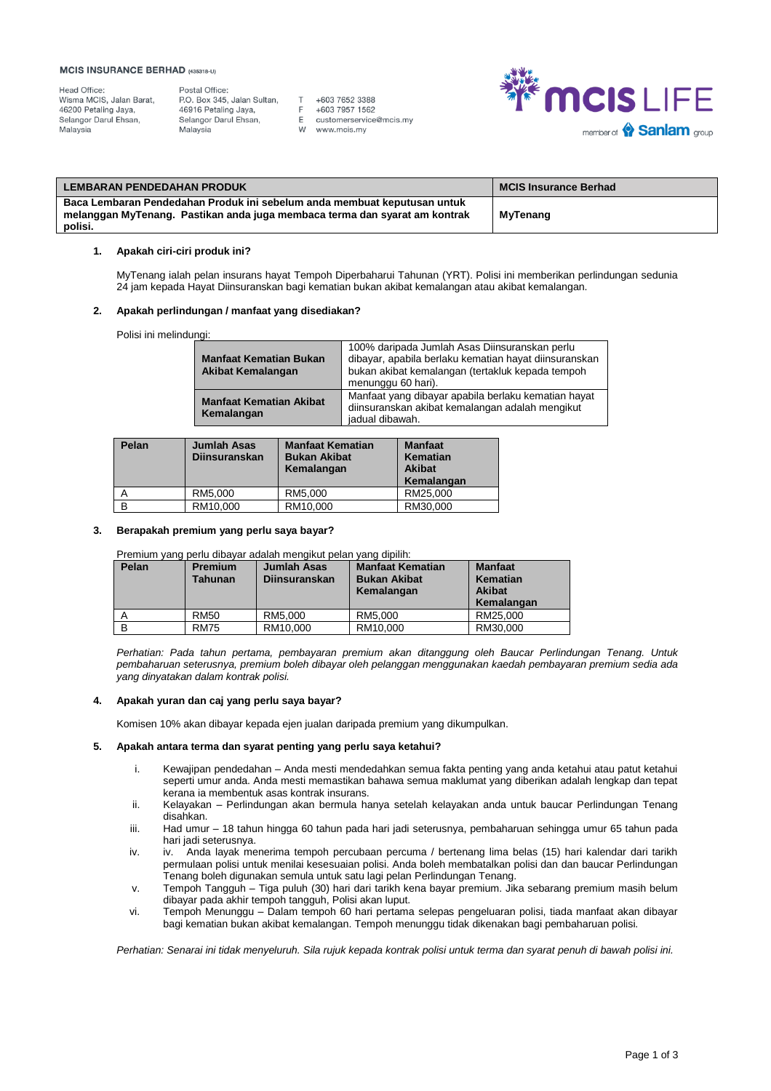#### **MCIS INSURANCE BERHAD (435318-U)**

Postal Office:<br>P.O. Box 345, Jalan Sultan, 46916 Petaling Jaya, Selangor Darul Ehsan, Malaysia

 $T$ +603 7652 3388  $\mathsf F$ +603 7957 1562 E customerservice@mcis.my www.mcis.my W



| LEMBARAN PENDEDAHAN PRODUK                                                                                                                                        | <b>MCIS Insurance Berhad</b> |
|-------------------------------------------------------------------------------------------------------------------------------------------------------------------|------------------------------|
| Baca Lembaran Pendedahan Produk ini sebelum anda membuat keputusan untuk<br>melanggan MyTenang. Pastikan anda juga membaca terma dan syarat am kontrak<br>polisi. | MyTenang                     |

## **1. Apakah ciri-ciri produk ini?**

MyTenang ialah pelan insurans hayat Tempoh Diperbaharui Tahunan (YRT). Polisi ini memberikan perlindungan sedunia 24 jam kepada Hayat Diinsuranskan bagi kematian bukan akibat kemalangan atau akibat kemalangan.

### **2. Apakah perlindungan / manfaat yang disediakan?**

Polisi ini melindungi:

| <b>Manfaat Kematian Bukan</b><br><b>Akibat Kemalangan</b> | 100% daripada Jumlah Asas Diinsuranskan perlu<br>dibayar, apabila berlaku kematian hayat diinsuranskan<br>bukan akibat kemalangan (tertakluk kepada tempoh<br>menunggu 60 hari). |
|-----------------------------------------------------------|----------------------------------------------------------------------------------------------------------------------------------------------------------------------------------|
| <b>Manfaat Kematian Akibat</b><br>Kemalangan              | Manfaat yang dibayar apabila berlaku kematian hayat<br>diinsuranskan akibat kemalangan adalah mengikut<br>jadual dibawah.                                                        |

| Pelan | <b>Jumlah Asas</b><br><b>Diinsuranskan</b> | <b>Manfaat Kematian</b><br><b>Bukan Akibat</b><br>Kemalangan | <b>Manfaat</b><br>Kematian<br><b>Akibat</b><br>Kemalangan |
|-------|--------------------------------------------|--------------------------------------------------------------|-----------------------------------------------------------|
|       | RM5.000                                    | RM5.000                                                      | RM25.000                                                  |
| В     | RM10.000                                   | RM10.000                                                     | RM30.000                                                  |

## **3. Berapakah premium yang perlu saya bayar?**

Premium yang perlu dibayar adalah mengikut pelan yang dipilih:

| Pelan | <b>Premium</b><br>Tahunan | <b>Jumlah Asas</b><br><b>Diinsuranskan</b> | <b>Manfaat Kematian</b><br><b>Bukan Akibat</b><br>Kemalangan | <b>Manfaat</b><br>Kematian<br><b>Akibat</b><br>Kemalangan |
|-------|---------------------------|--------------------------------------------|--------------------------------------------------------------|-----------------------------------------------------------|
|       | <b>RM50</b>               | RM5.000                                    | RM5.000                                                      | RM25.000                                                  |
|       | <b>RM75</b>               | RM10.000                                   | RM10.000                                                     | RM30.000                                                  |

*Perhatian: Pada tahun pertama, pembayaran premium akan ditanggung oleh Baucar Perlindungan Tenang. Untuk pembaharuan seterusnya, premium boleh dibayar oleh pelanggan menggunakan kaedah pembayaran premium sedia ada yang dinyatakan dalam kontrak polisi.* 

### **4. Apakah yuran dan caj yang perlu saya bayar?**

Komisen 10% akan dibayar kepada ejen jualan daripada premium yang dikumpulkan.

## **5. Apakah antara terma dan syarat penting yang perlu saya ketahui?**

- i. Kewajipan pendedahan Anda mesti mendedahkan semua fakta penting yang anda ketahui atau patut ketahui seperti umur anda. Anda mesti memastikan bahawa semua maklumat yang diberikan adalah lengkap dan tepat kerana ia membentuk asas kontrak insurans.
- ii. Kelayakan Perlindungan akan bermula hanya setelah kelayakan anda untuk baucar Perlindungan Tenang disahkan.
- iii. Had umur 18 tahun hingga 60 tahun pada hari jadi seterusnya, pembaharuan sehingga umur 65 tahun pada hari jadi seterusnya.
- iv. iv. Anda layak menerima tempoh percubaan percuma / bertenang lima belas (15) hari kalendar dari tarikh permulaan polisi untuk menilai kesesuaian polisi. Anda boleh membatalkan polisi dan dan baucar Perlindungan Tenang boleh digunakan semula untuk satu lagi pelan Perlindungan Tenang.
- v. Tempoh Tangguh Tiga puluh (30) hari dari tarikh kena bayar premium. Jika sebarang premium masih belum dibayar pada akhir tempoh tangguh, Polisi akan luput.
- vi. Tempoh Menunggu Dalam tempoh 60 hari pertama selepas pengeluaran polisi, tiada manfaat akan dibayar bagi kematian bukan akibat kemalangan. Tempoh menunggu tidak dikenakan bagi pembaharuan polisi.

*Perhatian: Senarai ini tidak menyeluruh. Sila rujuk kepada kontrak polisi untuk terma dan syarat penuh di bawah polisi ini.*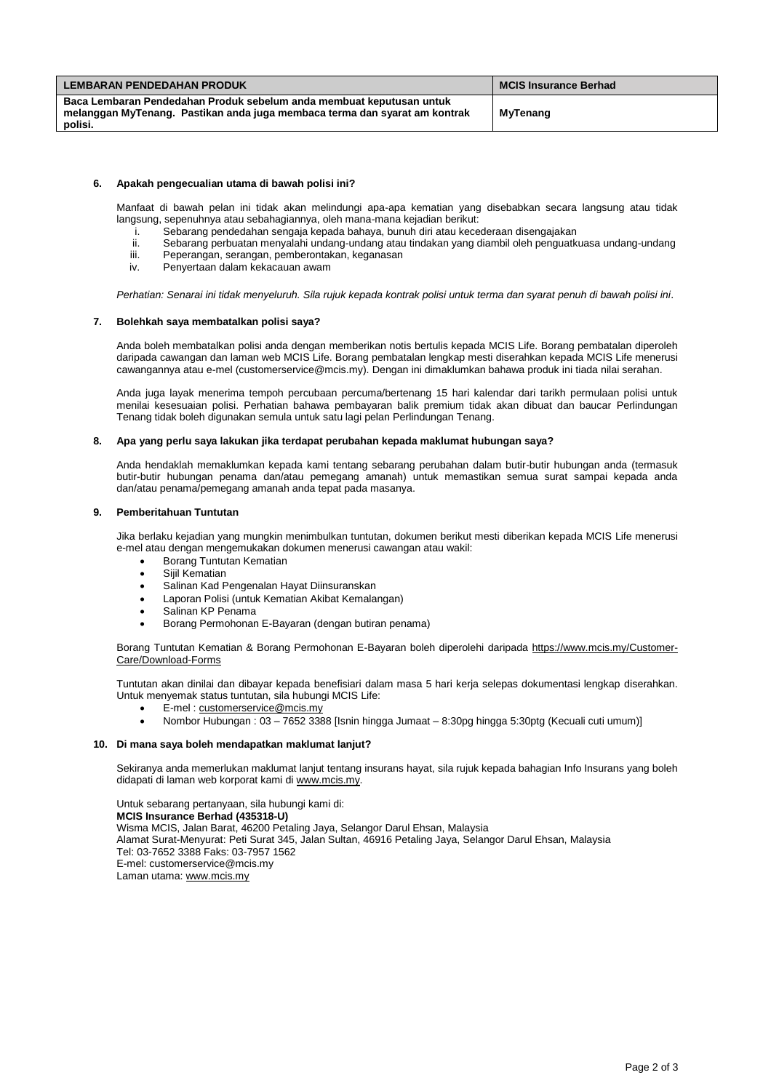| <b>LEMBARAN PENDEDAHAN PRODUK</b>                                                                                                                  | MCIS Insurance Berhad |  |
|----------------------------------------------------------------------------------------------------------------------------------------------------|-----------------------|--|
| Baca Lembaran Pendedahan Produk sebelum anda membuat keputusan untuk<br>melanggan MyTenang. Pastikan anda juga membaca terma dan syarat am kontrak | MyTenang              |  |
| polisi.                                                                                                                                            |                       |  |

## **6. Apakah pengecualian utama di bawah polisi ini?**

Manfaat di bawah pelan ini tidak akan melindungi apa-apa kematian yang disebabkan secara langsung atau tidak langsung, sepenuhnya atau sebahagiannya, oleh mana-mana kejadian berikut:

- i. Sebarang pendedahan sengaja kepada bahaya, bunuh diri atau kecederaan disengajakan
- ii. Sebarang perbuatan menyalahi undang-undang atau tindakan yang diambil oleh penguatkuasa undang-undang
- Peperangan, serangan, pemberontakan, keganasan
- iv. Penyertaan dalam kekacauan awam

*Perhatian: Senarai ini tidak menyeluruh. Sila rujuk kepada kontrak polisi untuk terma dan syarat penuh di bawah polisi ini.*

## **7. Bolehkah saya membatalkan polisi saya?**

Anda boleh membatalkan polisi anda dengan memberikan notis bertulis kepada MCIS Life. Borang pembatalan diperoleh daripada cawangan dan laman web MCIS Life. Borang pembatalan lengkap mesti diserahkan kepada MCIS Life menerusi cawangannya atau e-mel (customerservice@mcis.my). Dengan ini dimaklumkan bahawa produk ini tiada nilai serahan.

Anda juga layak menerima tempoh percubaan percuma/bertenang 15 hari kalendar dari tarikh permulaan polisi untuk menilai kesesuaian polisi. Perhatian bahawa pembayaran balik premium tidak akan dibuat dan baucar Perlindungan Tenang tidak boleh digunakan semula untuk satu lagi pelan Perlindungan Tenang.

#### **8. Apa yang perlu saya lakukan jika terdapat perubahan kepada maklumat hubungan saya?**

Anda hendaklah memaklumkan kepada kami tentang sebarang perubahan dalam butir-butir hubungan anda (termasuk butir-butir hubungan penama dan/atau pemegang amanah) untuk memastikan semua surat sampai kepada anda dan/atau penama/pemegang amanah anda tepat pada masanya.

#### **9. Pemberitahuan Tuntutan**

Jika berlaku kejadian yang mungkin menimbulkan tuntutan, dokumen berikut mesti diberikan kepada MCIS Life menerusi e-mel atau dengan mengemukakan dokumen menerusi cawangan atau wakil:

- Borang Tuntutan Kematian
- Sijil Kematian
- Salinan Kad Pengenalan Hayat Diinsuranskan
- Laporan Polisi (untuk Kematian Akibat Kemalangan)
- Salinan KP Penama
- Borang Permohonan E-Bayaran (dengan butiran penama)

Borang Tuntutan Kematian & Borang Permohonan E-Bayaran boleh diperolehi daripada [https://www.mcis.my/Customer-](https://www.mcis.my/Customer-Care/Download-Forms)[Care/Download-Forms](https://www.mcis.my/Customer-Care/Download-Forms)

Tuntutan akan dinilai dan dibayar kepada benefisiari dalam masa 5 hari kerja selepas dokumentasi lengkap diserahkan. Untuk menyemak status tuntutan, sila hubungi MCIS Life:

- E-mel [: customerservice@mcis.my](mailto:customerservice@mcis.my)
- Nombor Hubungan : 03 7652 3388 [Isnin hingga Jumaat 8:30pg hingga 5:30ptg (Kecuali cuti umum)]

#### **10. Di mana saya boleh mendapatkan maklumat lanjut?**

Sekiranya anda memerlukan maklumat lanjut tentang insurans hayat, sila rujuk kepada bahagian Info Insurans yang boleh didapati di laman web korporat kami di [www.mcis.my.](http://www.mcis.my/)

Untuk sebarang pertanyaan, sila hubungi kami di: **MCIS Insurance Berhad (435318-U)** Wisma MCIS, Jalan Barat, 46200 Petaling Jaya, Selangor Darul Ehsan, Malaysia Alamat Surat-Menyurat: Peti Surat 345, Jalan Sultan, 46916 Petaling Jaya, Selangor Darul Ehsan, Malaysia Tel: 03-7652 3388 Faks: 03-7957 1562 E-mel: customerservice@mcis.my Laman utama[: www.mcis.my](http://www.mcis.my/)